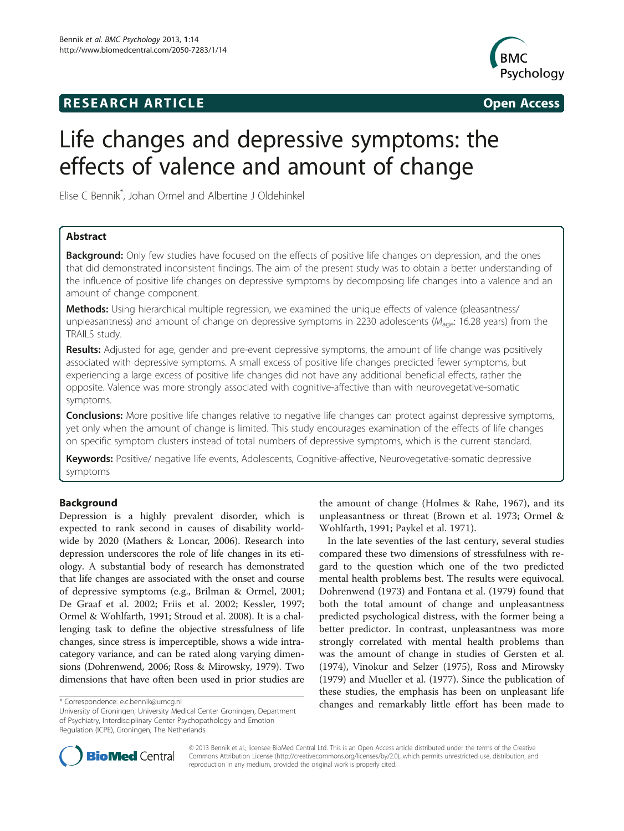## **RESEARCH ARTICLE Example 2014 CONSIDERING CONSIDERING CONSIDERING CONSIDERING CONSIDERING CONSIDERING CONSIDERING CONSIDERING CONSIDERING CONSIDERING CONSIDERING CONSIDERING CONSIDERING CONSIDERING CONSIDERING CONSIDE**



# Life changes and depressive symptoms: the effects of valence and amount of change

Elise C Bennik\* , Johan Ormel and Albertine J Oldehinkel

### Abstract

Background: Only few studies have focused on the effects of positive life changes on depression, and the ones that did demonstrated inconsistent findings. The aim of the present study was to obtain a better understanding of the influence of positive life changes on depressive symptoms by decomposing life changes into a valence and an amount of change component.

Methods: Using hierarchical multiple regression, we examined the unique effects of valence (pleasantness/ unpleasantness) and amount of change on depressive symptoms in 2230 adolescents ( $M_{\text{aq}}e$ : 16.28 years) from the TRAILS study.

Results: Adjusted for age, gender and pre-event depressive symptoms, the amount of life change was positively associated with depressive symptoms. A small excess of positive life changes predicted fewer symptoms, but experiencing a large excess of positive life changes did not have any additional beneficial effects, rather the opposite. Valence was more strongly associated with cognitive-affective than with neurovegetative-somatic symptoms.

**Conclusions:** More positive life changes relative to negative life changes can protect against depressive symptoms, yet only when the amount of change is limited. This study encourages examination of the effects of life changes on specific symptom clusters instead of total numbers of depressive symptoms, which is the current standard.

Keywords: Positive/ negative life events, Adolescents, Cognitive-affective, Neurovegetative-somatic depressive symptoms

### Background

Depression is a highly prevalent disorder, which is expected to rank second in causes of disability worldwide by 2020 (Mathers & Loncar, [2006](#page-9-0)). Research into depression underscores the role of life changes in its etiology. A substantial body of research has demonstrated that life changes are associated with the onset and course of depressive symptoms (e.g., Brilman & Ormel, [2001](#page-9-0); De Graaf et al. [2002](#page-9-0); Friis et al. [2002](#page-9-0); Kessler, [1997](#page-9-0); Ormel & Wohlfarth, [1991](#page-9-0); Stroud et al. [2008](#page-10-0)). It is a challenging task to define the objective stressfulness of life changes, since stress is imperceptible, shows a wide intracategory variance, and can be rated along varying dimensions (Dohrenwend, [2006;](#page-9-0) Ross & Mirowsky, [1979](#page-9-0)). Two dimensions that have often been used in prior studies are

the amount of change (Holmes & Rahe, [1967](#page-9-0)), and its unpleasantness or threat (Brown et al. [1973;](#page-9-0) Ormel & Wohlfarth, [1991;](#page-9-0) Paykel et al. [1971](#page-9-0)).

In the late seventies of the last century, several studies compared these two dimensions of stressfulness with regard to the question which one of the two predicted mental health problems best. The results were equivocal. Dohrenwend ([1973\)](#page-9-0) and Fontana et al. ([1979](#page-9-0)) found that both the total amount of change and unpleasantness predicted psychological distress, with the former being a better predictor. In contrast, unpleasantness was more strongly correlated with mental health problems than was the amount of change in studies of Gersten et al. ([1974\)](#page-9-0), Vinokur and Selzer [\(1975\)](#page-10-0), Ross and Mirowsky ([1979\)](#page-9-0) and Mueller et al. ([1977\)](#page-9-0). Since the publication of these studies, the emphasis has been on unpleasant life \*Correspondence: [e.c.bennik@umcg.nl](mailto:e.c.bennik@umcg.nl)<br>
changes and remarkably little effort has been made to



© 2013 Bennik et al.; licensee BioMed Central Ltd. This is an Open Access article distributed under the terms of the Creative Commons Attribution License [\(http://creativecommons.org/licenses/by/2.0\)](http://creativecommons.org/licenses/by/2.0), which permits unrestricted use, distribution, and reproduction in any medium, provided the original work is properly cited.

University of Groningen, University Medical Center Groningen, Department of Psychiatry, Interdisciplinary Center Psychopathology and Emotion Regulation (ICPE), Groningen, The Netherlands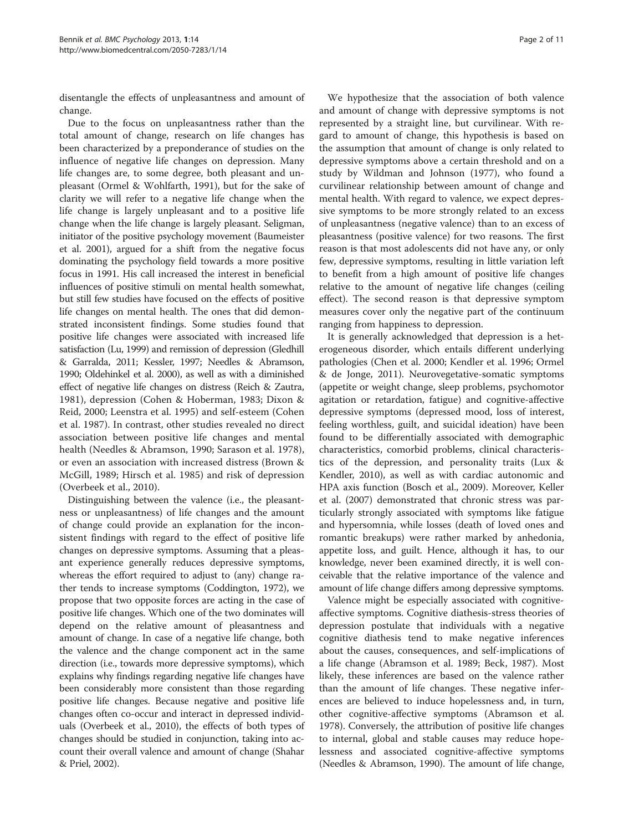disentangle the effects of unpleasantness and amount of change.

Due to the focus on unpleasantness rather than the total amount of change, research on life changes has been characterized by a preponderance of studies on the influence of negative life changes on depression. Many life changes are, to some degree, both pleasant and unpleasant (Ormel & Wohlfarth, [1991\)](#page-9-0), but for the sake of clarity we will refer to a negative life change when the life change is largely unpleasant and to a positive life change when the life change is largely pleasant. Seligman, initiator of the positive psychology movement (Baumeister et al. [2001\)](#page-9-0), argued for a shift from the negative focus dominating the psychology field towards a more positive focus in 1991. His call increased the interest in beneficial influences of positive stimuli on mental health somewhat, but still few studies have focused on the effects of positive life changes on mental health. The ones that did demonstrated inconsistent findings. Some studies found that positive life changes were associated with increased life satisfaction (Lu, [1999](#page-9-0)) and remission of depression (Gledhill & Garralda, [2011;](#page-9-0) Kessler, [1997;](#page-9-0) Needles & Abramson, [1990;](#page-9-0) Oldehinkel et al. [2000\)](#page-9-0), as well as with a diminished effect of negative life changes on distress (Reich & Zautra, [1981\)](#page-9-0), depression (Cohen & Hoberman, [1983;](#page-9-0) Dixon & Reid, [2000](#page-9-0); Leenstra et al. [1995](#page-9-0)) and self-esteem (Cohen et al. [1987\)](#page-9-0). In contrast, other studies revealed no direct association between positive life changes and mental health (Needles & Abramson, [1990](#page-9-0); Sarason et al. [1978](#page-9-0)), or even an association with increased distress (Brown & McGill, [1989](#page-9-0); Hirsch et al. [1985](#page-9-0)) and risk of depression (Overbeek et al., [2010](#page-9-0)).

Distinguishing between the valence (i.e., the pleasantness or unpleasantness) of life changes and the amount of change could provide an explanation for the inconsistent findings with regard to the effect of positive life changes on depressive symptoms. Assuming that a pleasant experience generally reduces depressive symptoms, whereas the effort required to adjust to (any) change rather tends to increase symptoms (Coddington, [1972\)](#page-9-0), we propose that two opposite forces are acting in the case of positive life changes. Which one of the two dominates will depend on the relative amount of pleasantness and amount of change. In case of a negative life change, both the valence and the change component act in the same direction (i.e., towards more depressive symptoms), which explains why findings regarding negative life changes have been considerably more consistent than those regarding positive life changes. Because negative and positive life changes often co-occur and interact in depressed individuals (Overbeek et al., [2010\)](#page-9-0), the effects of both types of changes should be studied in conjunction, taking into account their overall valence and amount of change (Shahar & Priel, [2002\)](#page-10-0).

We hypothesize that the association of both valence and amount of change with depressive symptoms is not represented by a straight line, but curvilinear. With regard to amount of change, this hypothesis is based on the assumption that amount of change is only related to depressive symptoms above a certain threshold and on a study by Wildman and Johnson [\(1977\)](#page-10-0), who found a curvilinear relationship between amount of change and mental health. With regard to valence, we expect depressive symptoms to be more strongly related to an excess of unpleasantness (negative valence) than to an excess of pleasantness (positive valence) for two reasons. The first reason is that most adolescents did not have any, or only few, depressive symptoms, resulting in little variation left to benefit from a high amount of positive life changes relative to the amount of negative life changes (ceiling effect). The second reason is that depressive symptom measures cover only the negative part of the continuum ranging from happiness to depression.

It is generally acknowledged that depression is a heterogeneous disorder, which entails different underlying pathologies (Chen et al. [2000](#page-9-0); Kendler et al. [1996;](#page-9-0) Ormel & de Jonge, [2011](#page-9-0)). Neurovegetative-somatic symptoms (appetite or weight change, sleep problems, psychomotor agitation or retardation, fatigue) and cognitive-affective depressive symptoms (depressed mood, loss of interest, feeling worthless, guilt, and suicidal ideation) have been found to be differentially associated with demographic characteristics, comorbid problems, clinical characteristics of the depression, and personality traits (Lux & Kendler, [2010\)](#page-9-0), as well as with cardiac autonomic and HPA axis function (Bosch et al., [2009\)](#page-9-0). Moreover, Keller et al. ([2007\)](#page-9-0) demonstrated that chronic stress was particularly strongly associated with symptoms like fatigue and hypersomnia, while losses (death of loved ones and romantic breakups) were rather marked by anhedonia, appetite loss, and guilt. Hence, although it has, to our knowledge, never been examined directly, it is well conceivable that the relative importance of the valence and amount of life change differs among depressive symptoms.

Valence might be especially associated with cognitiveaffective symptoms. Cognitive diathesis-stress theories of depression postulate that individuals with a negative cognitive diathesis tend to make negative inferences about the causes, consequences, and self-implications of a life change (Abramson et al. [1989](#page-9-0); Beck, [1987](#page-9-0)). Most likely, these inferences are based on the valence rather than the amount of life changes. These negative inferences are believed to induce hopelessness and, in turn, other cognitive-affective symptoms (Abramson et al. [1978](#page-9-0)). Conversely, the attribution of positive life changes to internal, global and stable causes may reduce hopelessness and associated cognitive-affective symptoms (Needles & Abramson, [1990\)](#page-9-0). The amount of life change,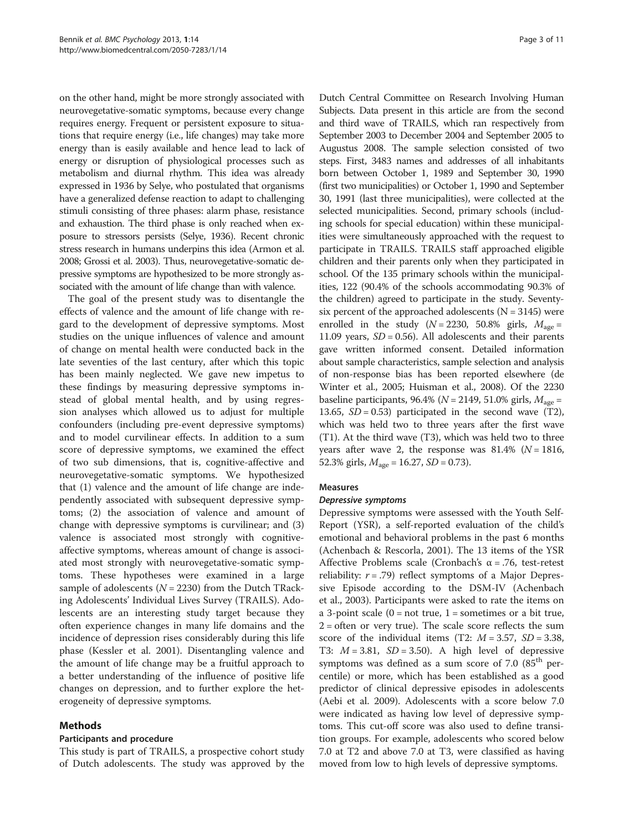on the other hand, might be more strongly associated with neurovegetative-somatic symptoms, because every change requires energy. Frequent or persistent exposure to situations that require energy (i.e., life changes) may take more energy than is easily available and hence lead to lack of energy or disruption of physiological processes such as metabolism and diurnal rhythm. This idea was already expressed in 1936 by Selye, who postulated that organisms have a generalized defense reaction to adapt to challenging stimuli consisting of three phases: alarm phase, resistance and exhaustion. The third phase is only reached when exposure to stressors persists (Selye, [1936\)](#page-10-0). Recent chronic stress research in humans underpins this idea (Armon et al. [2008](#page-9-0); Grossi et al. [2003](#page-9-0)). Thus, neurovegetative-somatic depressive symptoms are hypothesized to be more strongly associated with the amount of life change than with valence.

The goal of the present study was to disentangle the effects of valence and the amount of life change with regard to the development of depressive symptoms. Most studies on the unique influences of valence and amount of change on mental health were conducted back in the late seventies of the last century, after which this topic has been mainly neglected. We gave new impetus to these findings by measuring depressive symptoms instead of global mental health, and by using regression analyses which allowed us to adjust for multiple confounders (including pre-event depressive symptoms) and to model curvilinear effects. In addition to a sum score of depressive symptoms, we examined the effect of two sub dimensions, that is, cognitive-affective and neurovegetative-somatic symptoms. We hypothesized that (1) valence and the amount of life change are independently associated with subsequent depressive symptoms; (2) the association of valence and amount of change with depressive symptoms is curvilinear; and (3) valence is associated most strongly with cognitiveaffective symptoms, whereas amount of change is associated most strongly with neurovegetative-somatic symptoms. These hypotheses were examined in a large sample of adolescents ( $N = 2230$ ) from the Dutch TRacking Adolescents' Individual Lives Survey (TRAILS). Adolescents are an interesting study target because they often experience changes in many life domains and the incidence of depression rises considerably during this life phase (Kessler et al. [2001\)](#page-9-0). Disentangling valence and the amount of life change may be a fruitful approach to a better understanding of the influence of positive life changes on depression, and to further explore the heterogeneity of depressive symptoms.

#### Methods

#### Participants and procedure

This study is part of TRAILS, a prospective cohort study of Dutch adolescents. The study was approved by the

Dutch Central Committee on Research Involving Human Subjects. Data present in this article are from the second and third wave of TRAILS, which ran respectively from September 2003 to December 2004 and September 2005 to Augustus 2008. The sample selection consisted of two steps. First, 3483 names and addresses of all inhabitants born between October 1, 1989 and September 30, 1990 (first two municipalities) or October 1, 1990 and September 30, 1991 (last three municipalities), were collected at the selected municipalities. Second, primary schools (including schools for special education) within these municipalities were simultaneously approached with the request to participate in TRAILS. TRAILS staff approached eligible children and their parents only when they participated in school. Of the 135 primary schools within the municipalities, 122 (90.4% of the schools accommodating 90.3% of the children) agreed to participate in the study. Seventysix percent of the approached adolescents ( $N = 3145$ ) were enrolled in the study ( $N = 2230$ , 50.8% girls,  $M_{\text{age}} =$ 11.09 years,  $SD = 0.56$ ). All adolescents and their parents gave written informed consent. Detailed information about sample characteristics, sample selection and analysis of non-response bias has been reported elsewhere (de Winter et al., [2005](#page-9-0); Huisman et al., [2008\)](#page-9-0). Of the 2230 baseline participants, 96.4% ( $N = 2149$ , 51.0% girls,  $M_{\text{age}} =$ 13.65,  $SD = 0.53$ ) participated in the second wave (T2), which was held two to three years after the first wave (T1). At the third wave (T3), which was held two to three years after wave 2, the response was  $81.4\%$  ( $N = 1816$ , 52.3% girls,  $M_{\text{age}} = 16.27$ ,  $SD = 0.73$ ).

#### Measures

Depressive symptoms Depressive symptoms were assessed with the Youth Self-Report (YSR), a self-reported evaluation of the child's emotional and behavioral problems in the past 6 months (Achenbach & Rescorla, [2001](#page-9-0)). The 13 items of the YSR Affective Problems scale (Cronbach's  $\alpha$  = .76, test-retest reliability:  $r = .79$ ) reflect symptoms of a Major Depressive Episode according to the DSM-IV (Achenbach et al., [2003](#page-9-0)). Participants were asked to rate the items on a 3-point scale  $(0 = not true, 1 = sometimes or a bit true,$  $2 =$  often or very true). The scale score reflects the sum score of the individual items (T2:  $M = 3.57$ ,  $SD = 3.38$ , T3:  $M = 3.81$ ,  $SD = 3.50$ ). A high level of depressive symptoms was defined as a sum score of 7.0 (85<sup>th</sup> percentile) or more, which has been established as a good predictor of clinical depressive episodes in adolescents (Aebi et al. [2009\)](#page-9-0). Adolescents with a score below 7.0 were indicated as having low level of depressive symptoms. This cut-off score was also used to define transition groups. For example, adolescents who scored below 7.0 at T2 and above 7.0 at T3, were classified as having moved from low to high levels of depressive symptoms.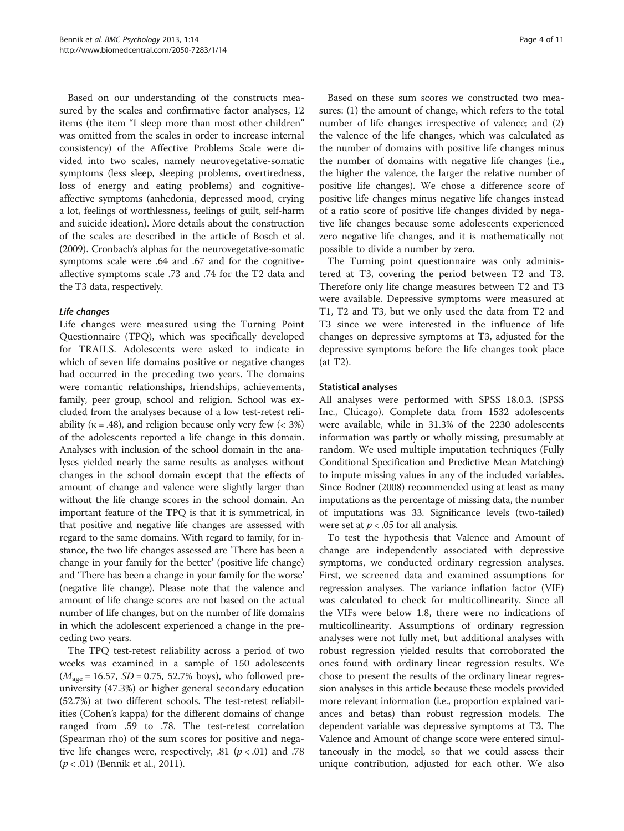Based on our understanding of the constructs measured by the scales and confirmative factor analyses, 12 items (the item "I sleep more than most other children" was omitted from the scales in order to increase internal consistency) of the Affective Problems Scale were divided into two scales, namely neurovegetative-somatic symptoms (less sleep, sleeping problems, overtiredness, loss of energy and eating problems) and cognitiveaffective symptoms (anhedonia, depressed mood, crying a lot, feelings of worthlessness, feelings of guilt, self-harm and suicide ideation). More details about the construction of the scales are described in the article of Bosch et al. ([2009](#page-9-0)). Cronbach's alphas for the neurovegetative-somatic symptoms scale were .64 and .67 and for the cognitiveaffective symptoms scale .73 and .74 for the T2 data and the T3 data, respectively.

Life changes Life changes were measured using the Turning Point Questionnaire (TPQ), which was specifically developed for TRAILS. Adolescents were asked to indicate in which of seven life domains positive or negative changes had occurred in the preceding two years. The domains were romantic relationships, friendships, achievements, family, peer group, school and religion. School was excluded from the analyses because of a low test-retest reliability ( $\kappa = .48$ ), and religion because only very few ( $< 3\%$ ) of the adolescents reported a life change in this domain. Analyses with inclusion of the school domain in the analyses yielded nearly the same results as analyses without changes in the school domain except that the effects of amount of change and valence were slightly larger than without the life change scores in the school domain. An important feature of the TPQ is that it is symmetrical, in that positive and negative life changes are assessed with regard to the same domains. With regard to family, for instance, the two life changes assessed are 'There has been a change in your family for the better' (positive life change) and 'There has been a change in your family for the worse' (negative life change). Please note that the valence and amount of life change scores are not based on the actual number of life changes, but on the number of life domains in which the adolescent experienced a change in the preceding two years.

The TPQ test-retest reliability across a period of two weeks was examined in a sample of 150 adolescents  $(M<sub>age</sub> = 16.57, SD = 0.75, 52.7% boys)$ , who followed preuniversity (47.3%) or higher general secondary education (52.7%) at two different schools. The test-retest reliabilities (Cohen's kappa) for the different domains of change ranged from .59 to .78. The test-retest correlation (Spearman rho) of the sum scores for positive and negative life changes were, respectively,  $.81$  ( $p < .01$ ) and  $.78$  $(p < .01)$  (Bennik et al., [2011](#page-9-0)).

Based on these sum scores we constructed two measures: (1) the amount of change, which refers to the total number of life changes irrespective of valence; and (2) the valence of the life changes, which was calculated as the number of domains with positive life changes minus the number of domains with negative life changes (i.e., the higher the valence, the larger the relative number of positive life changes). We chose a difference score of positive life changes minus negative life changes instead of a ratio score of positive life changes divided by negative life changes because some adolescents experienced zero negative life changes, and it is mathematically not possible to divide a number by zero.

The Turning point questionnaire was only administered at T3, covering the period between T2 and T3. Therefore only life change measures between T2 and T3 were available. Depressive symptoms were measured at T1, T2 and T3, but we only used the data from T2 and T3 since we were interested in the influence of life changes on depressive symptoms at T3, adjusted for the depressive symptoms before the life changes took place (at T2).

#### Statistical analyses

All analyses were performed with SPSS 18.0.3. (SPSS Inc., Chicago). Complete data from 1532 adolescents were available, while in 31.3% of the 2230 adolescents information was partly or wholly missing, presumably at random. We used multiple imputation techniques (Fully Conditional Specification and Predictive Mean Matching) to impute missing values in any of the included variables. Since Bodner [\(2008](#page-9-0)) recommended using at least as many imputations as the percentage of missing data, the number of imputations was 33. Significance levels (two-tailed) were set at  $p < .05$  for all analysis.

To test the hypothesis that Valence and Amount of change are independently associated with depressive symptoms, we conducted ordinary regression analyses. First, we screened data and examined assumptions for regression analyses. The variance inflation factor (VIF) was calculated to check for multicollinearity. Since all the VIFs were below 1.8, there were no indications of multicollinearity. Assumptions of ordinary regression analyses were not fully met, but additional analyses with robust regression yielded results that corroborated the ones found with ordinary linear regression results. We chose to present the results of the ordinary linear regression analyses in this article because these models provided more relevant information (i.e., proportion explained variances and betas) than robust regression models. The dependent variable was depressive symptoms at T3. The Valence and Amount of change score were entered simultaneously in the model, so that we could assess their unique contribution, adjusted for each other. We also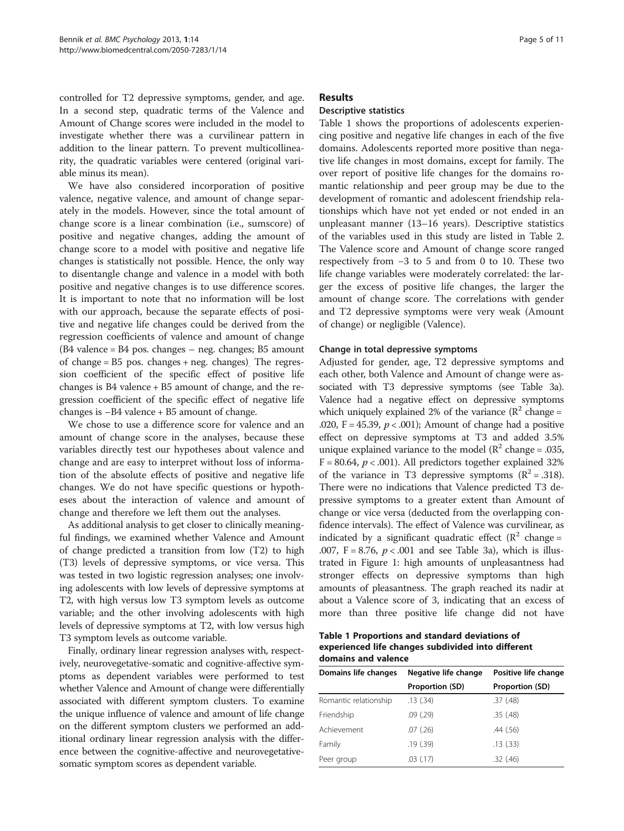controlled for T2 depressive symptoms, gender, and age. In a second step, quadratic terms of the Valence and Amount of Change scores were included in the model to investigate whether there was a curvilinear pattern in addition to the linear pattern. To prevent multicollinearity, the quadratic variables were centered (original variable minus its mean).

We have also considered incorporation of positive valence, negative valence, and amount of change separately in the models. However, since the total amount of change score is a linear combination (i.e., sumscore) of positive and negative changes, adding the amount of change score to a model with positive and negative life changes is statistically not possible. Hence, the only way to disentangle change and valence in a model with both positive and negative changes is to use difference scores. It is important to note that no information will be lost with our approach, because the separate effects of positive and negative life changes could be derived from the regression coefficients of valence and amount of change (B4 valence = B4 pos. changes – neg. changes; B5 amount of change  $= B5$  pos. changes  $+$  neg. changes). The regression coefficient of the specific effect of positive life changes is B4 valence + B5 amount of change, and the regression coefficient of the specific effect of negative life changes is –B4 valence + B5 amount of change.

We chose to use a difference score for valence and an amount of change score in the analyses, because these variables directly test our hypotheses about valence and change and are easy to interpret without loss of information of the absolute effects of positive and negative life changes. We do not have specific questions or hypotheses about the interaction of valence and amount of change and therefore we left them out the analyses.

As additional analysis to get closer to clinically meaningful findings, we examined whether Valence and Amount of change predicted a transition from low (T2) to high (T3) levels of depressive symptoms, or vice versa. This was tested in two logistic regression analyses; one involving adolescents with low levels of depressive symptoms at T2, with high versus low T3 symptom levels as outcome variable; and the other involving adolescents with high levels of depressive symptoms at T2, with low versus high T3 symptom levels as outcome variable.

Finally, ordinary linear regression analyses with, respectively, neurovegetative-somatic and cognitive-affective symptoms as dependent variables were performed to test whether Valence and Amount of change were differentially associated with different symptom clusters. To examine the unique influence of valence and amount of life change on the different symptom clusters we performed an additional ordinary linear regression analysis with the difference between the cognitive-affective and neurovegetativesomatic symptom scores as dependent variable.

#### Results

### Descriptive statistics

Table 1 shows the proportions of adolescents experiencing positive and negative life changes in each of the five domains. Adolescents reported more positive than negative life changes in most domains, except for family. The over report of positive life changes for the domains romantic relationship and peer group may be due to the development of romantic and adolescent friendship relationships which have not yet ended or not ended in an unpleasant manner (13–16 years). Descriptive statistics of the variables used in this study are listed in Table [2](#page-5-0). The Valence score and Amount of change score ranged respectively from −3 to 5 and from 0 to 10. These two life change variables were moderately correlated: the larger the excess of positive life changes, the larger the amount of change score. The correlations with gender and T2 depressive symptoms were very weak (Amount of change) or negligible (Valence).

#### Change in total depressive symptoms

Adjusted for gender, age, T2 depressive symptoms and each other, both Valence and Amount of change were associated with T3 depressive symptoms (see Table [3](#page-5-0)a). Valence had a negative effect on depressive symptoms which uniquely explained 2% of the variance ( $\mathbb{R}^2$  change = .020, F = 45.39,  $p < .001$ ); Amount of change had a positive effect on depressive symptoms at T3 and added 3.5% unique explained variance to the model ( $\mathbb{R}^2$  change = .035,  $F = 80.64$ ,  $p < .001$ ). All predictors together explained 32% of the variance in T3 depressive symptoms  $(R^2 = .318)$ . There were no indications that Valence predicted T3 depressive symptoms to a greater extent than Amount of change or vice versa (deducted from the overlapping confidence intervals). The effect of Valence was curvilinear, as indicated by a significant quadratic effect ( $\mathbb{R}^2$  change = .007,  $F = 8.76$ ,  $p < .001$  and see Table [3](#page-5-0)a), which is illustrated in Figure [1](#page-6-0): high amounts of unpleasantness had stronger effects on depressive symptoms than high amounts of pleasantness. The graph reached its nadir at about a Valence score of 3, indicating that an excess of more than three positive life change did not have

Table 1 Proportions and standard deviations of experienced life changes subdivided into different domains and valence

| Domains life changes  | Negative life change | Positive life change |  |  |  |
|-----------------------|----------------------|----------------------|--|--|--|
|                       | Proportion (SD)      | Proportion (SD)      |  |  |  |
| Romantic relationship | .13(.34)             | .37(.48)             |  |  |  |
| Friendship            | $.09$ $(.29)$        | .35(.48)             |  |  |  |
| Achievement           | .07(.26)             | .44(.56)             |  |  |  |
| Family                | .19(.39)             | .13(.33)             |  |  |  |
| Peer group            | $.03$ $(.17)$        | .32(.46)             |  |  |  |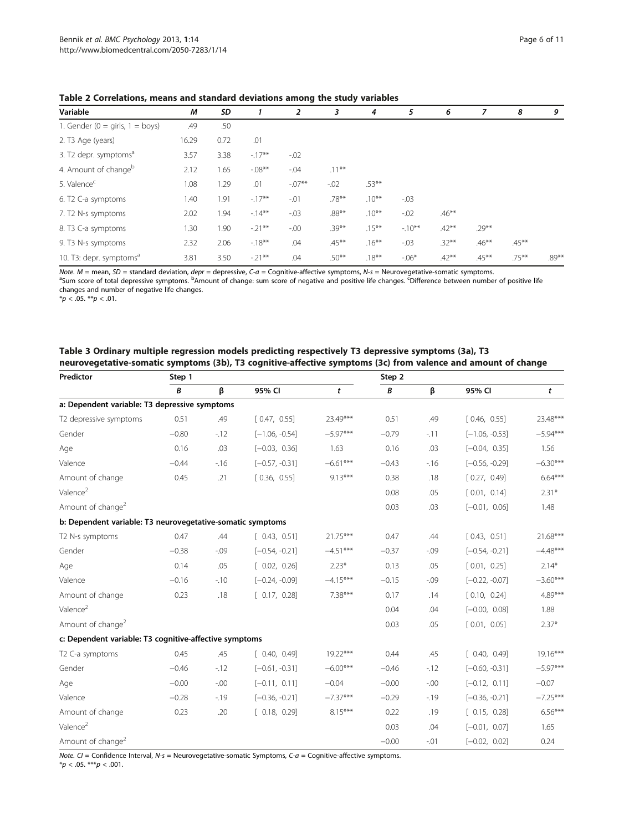| Variable                             | М     | SD   |          | 2       | 3        | 4        | 5       | 6        | 7        | 8        | 9     |
|--------------------------------------|-------|------|----------|---------|----------|----------|---------|----------|----------|----------|-------|
| 1. Gender ( $0 =$ girls, $1 =$ boys) | .49   | .50  |          |         |          |          |         |          |          |          |       |
| 2. T3 Age (years)                    | 16.29 | 0.72 | .01      |         |          |          |         |          |          |          |       |
| 3. T2 depr. symptoms <sup>a</sup>    | 3.57  | 3.38 | $-17**$  | $-0.02$ |          |          |         |          |          |          |       |
| 4. Amount of change <sup>b</sup>     | 2.12  | 1.65 | $-.08**$ | $-0.04$ | $.11***$ |          |         |          |          |          |       |
| 5. Valence <sup>c</sup>              | 1.08  | 1.29 | .01      | $-07**$ | $-0.02$  | $.53***$ |         |          |          |          |       |
| 6. T2 C-a symptoms                   | 1.40  | 1.91 | $-17**$  | $-01$   | $.78***$ | $.10***$ | $-0.03$ |          |          |          |       |
| 7. T2 N-s symptoms                   | 2.02  | 1.94 | $-14***$ | -.03    | $.88***$ | $.10***$ | $-0.02$ | $.46***$ |          |          |       |
| 8. T3 C-a symptoms                   | 1.30  | 1.90 | $-21**$  | $-00 -$ | $.39***$ | $.15***$ | $-10**$ | $.42***$ | $.29***$ |          |       |
| 9. T3 N-s symptoms                   | 2.32  | 2.06 | $-18**$  | .04     | $.45***$ | $.16***$ | $-0.03$ | $.32***$ | $.46***$ | $.45***$ |       |
| 10. T3: depr. symptoms <sup>a</sup>  | 3.81  | 3.50 | $-21**$  | .04     | $.50***$ | $.18***$ | $-06*$  | $.42***$ | $.45***$ | $.75***$ | .89** |

<span id="page-5-0"></span>Table 2 Correlations, means and standard deviations among the study variables

Note. M = mean, SD = standard deviation, *depr* = depressive, C-a = Cognitive-affective symptoms, N-s = Neurovegetative-somatic symptoms.<br><sup>a</sup>Sum score of total depressive symptoms. <sup>b</sup>Amount of change: sum score of negativ changes and number of negative life changes.

 $*p < .05$ .  $**p < .01$ .

| Table 3 Ordinary multiple regression models predicting respectively T3 depressive symptoms (3a), T3           |
|---------------------------------------------------------------------------------------------------------------|
| neurovegetative-somatic symptoms (3b), T3 cognitive-affective symptoms (3c) from valence and amount of change |

| Predictor                                                  | Step 1  |         |                  | Step 2     |         |         |                  |            |
|------------------------------------------------------------|---------|---------|------------------|------------|---------|---------|------------------|------------|
|                                                            | B       | β       | 95% CI           | t          | B       | β       | 95% CI           | t          |
| a: Dependent variable: T3 depressive symptoms              |         |         |                  |            |         |         |                  |            |
| T2 depressive symptoms                                     | 0.51    | .49     | [0.47, 0.55]     | 23.49***   | 0.51    | .49     | [0.46, 0.55]     | 23.48***   |
| Gender                                                     | $-0.80$ | $-12$   | $[-1.06, -0.54]$ | $-5.97***$ | $-0.79$ | $-11$   | $[-1.06, -0.53]$ | $-5.94***$ |
| Age                                                        | 0.16    | .03     | $[-0.03, 0.36]$  | 1.63       | 0.16    | .03     | $[-0.04, 0.35]$  | 1.56       |
| Valence                                                    | $-0.44$ | $-16$   | $[-0.57, -0.31]$ | $-6.61***$ | $-0.43$ | $-16$   | $[-0.56, -0.29]$ | $-6.30***$ |
| Amount of change                                           | 0.45    | .21     | [0.36, 0.55]     | $9.13***$  | 0.38    | .18     | [0.27, 0.49]     | $6.64***$  |
| Valence <sup>2</sup>                                       |         |         |                  |            | 0.08    | .05     | [0.01, 0.14]     | $2.31*$    |
| Amount of change <sup>2</sup>                              |         |         |                  |            | 0.03    | .03     | $[-0.01, 0.06]$  | 1.48       |
| b: Dependent variable: T3 neurovegetative-somatic symptoms |         |         |                  |            |         |         |                  |            |
| T2 N-s symptoms                                            | 0.47    | .44     | [0.43, 0.51]     | $21.75***$ | 0.47    | .44     | [0.43, 0.51]     | 21.68***   |
| Gender                                                     | $-0.38$ | $-0.09$ | $[-0.54, -0.21]$ | $-4.51***$ | $-0.37$ | $-0.09$ | $[-0.54, -0.21]$ | $-4.48***$ |
| Age                                                        | 0.14    | .05     | [0.02, 0.26]     | $2.23*$    | 0.13    | .05     | [0.01, 0.25]     | $2.14*$    |
| Valence                                                    | $-0.16$ | $-10$   | $[-0.24, -0.09]$ | $-4.15***$ | $-0.15$ | $-0.09$ | $[-0.22, -0.07]$ | $-3.60***$ |
| Amount of change                                           | 0.23    | .18     | [0.17, 0.28]     | 7.38***    | 0.17    | .14     | [0.10, 0.24]     | $4.89***$  |
| Valence <sup>2</sup>                                       |         |         |                  |            | 0.04    | .04     | $[-0.00, 0.08]$  | 1.88       |
| Amount of change <sup>2</sup>                              |         |         |                  |            | 0.03    | .05     | [0.01, 0.05]     | $2.37*$    |
| c: Dependent variable: T3 cognitive-affective symptoms     |         |         |                  |            |         |         |                  |            |
| T2 C-a symptoms                                            | 0.45    | .45     | [0.40, 0.49]     | $19.22***$ | 0.44    | .45     | [0.40, 0.49]     | $19.16***$ |
| Gender                                                     | $-0.46$ | $-12$   | $[-0.61, -0.31]$ | $-6.00***$ | $-0.46$ | $-12$   | $[-0.60, -0.31]$ | $-5.97***$ |
| Age                                                        | $-0.00$ | $-.00$  | $[-0.11, 0.11]$  | $-0.04$    | $-0.00$ | $-0.00$ | $[-0.12, 0.11]$  | $-0.07$    |
| Valence                                                    | $-0.28$ | $-19$   | $[-0.36, -0.21]$ | $-7.37***$ | $-0.29$ | $-19$   | $[-0.36, -0.21]$ | $-7.25***$ |
| Amount of change                                           | 0.23    | .20     | [0.18, 0.29]     | $8.15***$  | 0.22    | .19     | [0.15, 0.28]     | $6.56***$  |
| Valence <sup>2</sup>                                       |         |         |                  |            | 0.03    | .04     | $[-0.01, 0.07]$  | 1.65       |
| Amount of change <sup>2</sup>                              |         |         |                  |            | $-0.00$ | $-.01$  | $[-0.02, 0.02]$  | 0.24       |

Note.  $CI =$  Confidence Interval, N-s = Neurovegetative-somatic Symptoms,  $C-a =$  Cognitive-affective symptoms.

 $*p < .05.$  \*\*\* $p < .001.$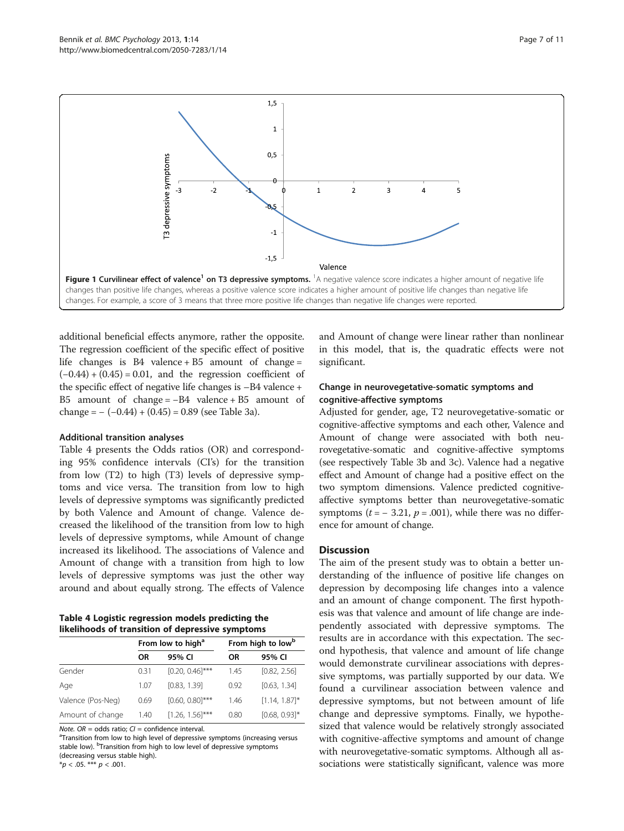<span id="page-6-0"></span>

additional beneficial effects anymore, rather the opposite. The regression coefficient of the specific effect of positive life changes is  $B4$  valence +  $B5$  amount of change =  $(-0.44) + (0.45) = 0.01$ , and the regression coefficient of the specific effect of negative life changes is –B4 valence + B5 amount of change =  $-B4$  valence + B5 amount of change =  $-(-0.44) + (0.45) = 0.89$  (see Table [3](#page-5-0)a).

#### Additional transition analyses

Table 4 presents the Odds ratios (OR) and corresponding 95% confidence intervals (CI's) for the transition from low (T2) to high (T3) levels of depressive symptoms and vice versa. The transition from low to high levels of depressive symptoms was significantly predicted by both Valence and Amount of change. Valence decreased the likelihood of the transition from low to high levels of depressive symptoms, while Amount of change increased its likelihood. The associations of Valence and Amount of change with a transition from high to low levels of depressive symptoms was just the other way around and about equally strong. The effects of Valence

Table 4 Logistic regression models predicting the likelihoods of transition of depressive symptoms

|                   |           | From low to high <sup>a</sup> | From high to low <sup>b</sup> |                  |  |
|-------------------|-----------|-------------------------------|-------------------------------|------------------|--|
|                   | <b>OR</b> | 95% CI                        | ΟR                            | 95% CI           |  |
| Gender            | 0.31      | $[0.20, 0.46]$ ***            | 1.45                          | [0.82, 2.56]     |  |
| Age               | 1.07      | [0.83, 1.39]                  | 0.92                          | [0.63, 1.34]     |  |
| Valence (Pos-Neg) | 0.69      | $[0.60, 0.80]$ ***            | 1.46                          | $[1.14, 1.87]$ * |  |
| Amount of change  | 1.40      | $[1.26, 1.56]$ ***            | 0.80                          | $[0.68, 0.93]$ * |  |

Note.  $OR = odds$  ratio;  $CI = confidence$  interval.

<sup>a</sup>Transition from low to high level of depressive symptoms (increasing versus stable low). <sup>b</sup>Transition from high to low level of depressive symptoms (decreasing versus stable high).

 $*p < .05.$  \*\*\*  $p < .001$ .

and Amount of change were linear rather than nonlinear in this model, that is, the quadratic effects were not significant.

#### Change in neurovegetative-somatic symptoms and cognitive-affective symptoms

Adjusted for gender, age, T2 neurovegetative-somatic or cognitive-affective symptoms and each other, Valence and Amount of change were associated with both neurovegetative-somatic and cognitive-affective symptoms (see respectively Table [3b](#page-5-0) and [3c](#page-5-0)). Valence had a negative effect and Amount of change had a positive effect on the two symptom dimensions. Valence predicted cognitiveaffective symptoms better than neurovegetative-somatic symptoms  $(t = -3.21, p = .001)$ , while there was no difference for amount of change.

#### Discussion

The aim of the present study was to obtain a better understanding of the influence of positive life changes on depression by decomposing life changes into a valence and an amount of change component. The first hypothesis was that valence and amount of life change are independently associated with depressive symptoms. The results are in accordance with this expectation. The second hypothesis, that valence and amount of life change would demonstrate curvilinear associations with depressive symptoms, was partially supported by our data. We found a curvilinear association between valence and depressive symptoms, but not between amount of life change and depressive symptoms. Finally, we hypothesized that valence would be relatively strongly associated with cognitive-affective symptoms and amount of change with neurovegetative-somatic symptoms. Although all associations were statistically significant, valence was more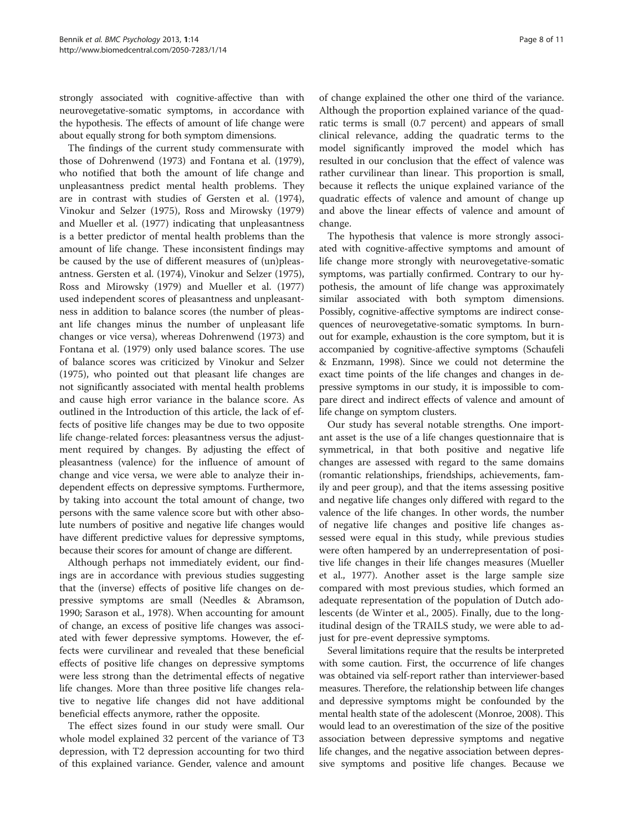strongly associated with cognitive-affective than with neurovegetative-somatic symptoms, in accordance with the hypothesis. The effects of amount of life change were about equally strong for both symptom dimensions.

The findings of the current study commensurate with those of Dohrenwend ([1973](#page-9-0)) and Fontana et al. ([1979](#page-9-0)), who notified that both the amount of life change and unpleasantness predict mental health problems. They are in contrast with studies of Gersten et al. ([1974](#page-9-0)), Vinokur and Selzer ([1975\)](#page-10-0), Ross and Mirowsky ([1979](#page-9-0)) and Mueller et al. ([1977](#page-9-0)) indicating that unpleasantness is a better predictor of mental health problems than the amount of life change. These inconsistent findings may be caused by the use of different measures of (un)pleasantness. Gersten et al. ([1974\)](#page-9-0), Vinokur and Selzer ([1975](#page-10-0)), Ross and Mirowsky ([1979](#page-9-0)) and Mueller et al. ([1977](#page-9-0)) used independent scores of pleasantness and unpleasantness in addition to balance scores (the number of pleasant life changes minus the number of unpleasant life changes or vice versa), whereas Dohrenwend [\(1973](#page-9-0)) and Fontana et al. [\(1979\)](#page-9-0) only used balance scores. The use of balance scores was criticized by Vinokur and Selzer ([1975](#page-10-0)), who pointed out that pleasant life changes are not significantly associated with mental health problems and cause high error variance in the balance score. As outlined in the Introduction of this article, the lack of effects of positive life changes may be due to two opposite life change-related forces: pleasantness versus the adjustment required by changes. By adjusting the effect of pleasantness (valence) for the influence of amount of change and vice versa, we were able to analyze their independent effects on depressive symptoms. Furthermore, by taking into account the total amount of change, two persons with the same valence score but with other absolute numbers of positive and negative life changes would have different predictive values for depressive symptoms, because their scores for amount of change are different.

Although perhaps not immediately evident, our findings are in accordance with previous studies suggesting that the (inverse) effects of positive life changes on depressive symptoms are small (Needles & Abramson, [1990](#page-9-0); Sarason et al., [1978](#page-9-0)). When accounting for amount of change, an excess of positive life changes was associated with fewer depressive symptoms. However, the effects were curvilinear and revealed that these beneficial effects of positive life changes on depressive symptoms were less strong than the detrimental effects of negative life changes. More than three positive life changes relative to negative life changes did not have additional beneficial effects anymore, rather the opposite.

The effect sizes found in our study were small. Our whole model explained 32 percent of the variance of T3 depression, with T2 depression accounting for two third of this explained variance. Gender, valence and amount

of change explained the other one third of the variance. Although the proportion explained variance of the quadratic terms is small (0.7 percent) and appears of small clinical relevance, adding the quadratic terms to the model significantly improved the model which has resulted in our conclusion that the effect of valence was rather curvilinear than linear. This proportion is small, because it reflects the unique explained variance of the quadratic effects of valence and amount of change up and above the linear effects of valence and amount of change.

The hypothesis that valence is more strongly associated with cognitive-affective symptoms and amount of life change more strongly with neurovegetative-somatic symptoms, was partially confirmed. Contrary to our hypothesis, the amount of life change was approximately similar associated with both symptom dimensions. Possibly, cognitive-affective symptoms are indirect consequences of neurovegetative-somatic symptoms. In burnout for example, exhaustion is the core symptom, but it is accompanied by cognitive-affective symptoms (Schaufeli & Enzmann, [1998](#page-10-0)). Since we could not determine the exact time points of the life changes and changes in depressive symptoms in our study, it is impossible to compare direct and indirect effects of valence and amount of life change on symptom clusters.

Our study has several notable strengths. One important asset is the use of a life changes questionnaire that is symmetrical, in that both positive and negative life changes are assessed with regard to the same domains (romantic relationships, friendships, achievements, family and peer group), and that the items assessing positive and negative life changes only differed with regard to the valence of the life changes. In other words, the number of negative life changes and positive life changes assessed were equal in this study, while previous studies were often hampered by an underrepresentation of positive life changes in their life changes measures (Mueller et al., [1977](#page-9-0)). Another asset is the large sample size compared with most previous studies, which formed an adequate representation of the population of Dutch adolescents (de Winter et al., [2005\)](#page-9-0). Finally, due to the longitudinal design of the TRAILS study, we were able to adjust for pre-event depressive symptoms.

Several limitations require that the results be interpreted with some caution. First, the occurrence of life changes was obtained via self-report rather than interviewer-based measures. Therefore, the relationship between life changes and depressive symptoms might be confounded by the mental health state of the adolescent (Monroe, [2008\)](#page-9-0). This would lead to an overestimation of the size of the positive association between depressive symptoms and negative life changes, and the negative association between depressive symptoms and positive life changes. Because we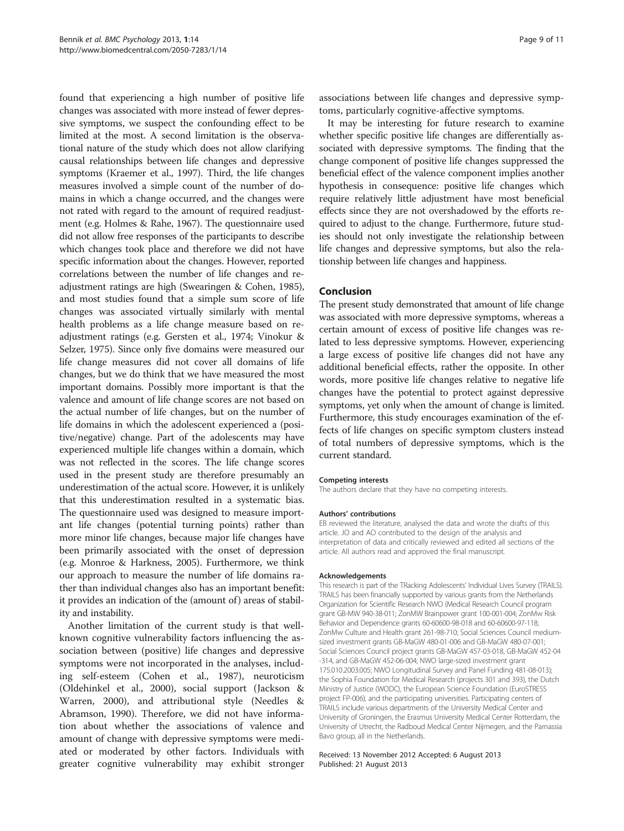found that experiencing a high number of positive life changes was associated with more instead of fewer depressive symptoms, we suspect the confounding effect to be limited at the most. A second limitation is the observational nature of the study which does not allow clarifying causal relationships between life changes and depressive symptoms (Kraemer et al., [1997\)](#page-9-0). Third, the life changes measures involved a simple count of the number of domains in which a change occurred, and the changes were not rated with regard to the amount of required readjustment (e.g. Holmes & Rahe, [1967\)](#page-9-0). The questionnaire used did not allow free responses of the participants to describe which changes took place and therefore we did not have specific information about the changes. However, reported correlations between the number of life changes and readjustment ratings are high (Swearingen & Cohen, [1985](#page-10-0)), and most studies found that a simple sum score of life changes was associated virtually similarly with mental health problems as a life change measure based on readjustment ratings (e.g. Gersten et al., [1974;](#page-9-0) Vinokur & Selzer, [1975](#page-10-0)). Since only five domains were measured our life change measures did not cover all domains of life changes, but we do think that we have measured the most important domains. Possibly more important is that the valence and amount of life change scores are not based on the actual number of life changes, but on the number of life domains in which the adolescent experienced a (positive/negative) change. Part of the adolescents may have experienced multiple life changes within a domain, which was not reflected in the scores. The life change scores used in the present study are therefore presumably an underestimation of the actual score. However, it is unlikely that this underestimation resulted in a systematic bias. The questionnaire used was designed to measure important life changes (potential turning points) rather than more minor life changes, because major life changes have been primarily associated with the onset of depression (e.g. Monroe & Harkness, [2005\)](#page-9-0). Furthermore, we think our approach to measure the number of life domains rather than individual changes also has an important benefit: it provides an indication of the (amount of) areas of stability and instability.

Another limitation of the current study is that wellknown cognitive vulnerability factors influencing the association between (positive) life changes and depressive symptoms were not incorporated in the analyses, including self-esteem (Cohen et al., [1987\)](#page-9-0), neuroticism (Oldehinkel et al., [2000\)](#page-9-0), social support (Jackson & Warren, [2000](#page-9-0)), and attributional style (Needles & Abramson, [1990](#page-9-0)). Therefore, we did not have information about whether the associations of valence and amount of change with depressive symptoms were mediated or moderated by other factors. Individuals with greater cognitive vulnerability may exhibit stronger associations between life changes and depressive symptoms, particularly cognitive-affective symptoms.

It may be interesting for future research to examine whether specific positive life changes are differentially associated with depressive symptoms. The finding that the change component of positive life changes suppressed the beneficial effect of the valence component implies another hypothesis in consequence: positive life changes which require relatively little adjustment have most beneficial effects since they are not overshadowed by the efforts required to adjust to the change. Furthermore, future studies should not only investigate the relationship between life changes and depressive symptoms, but also the relationship between life changes and happiness.

#### Conclusion

The present study demonstrated that amount of life change was associated with more depressive symptoms, whereas a certain amount of excess of positive life changes was related to less depressive symptoms. However, experiencing a large excess of positive life changes did not have any additional beneficial effects, rather the opposite. In other words, more positive life changes relative to negative life changes have the potential to protect against depressive symptoms, yet only when the amount of change is limited. Furthermore, this study encourages examination of the effects of life changes on specific symptom clusters instead of total numbers of depressive symptoms, which is the current standard.

#### Competing interests

The authors declare that they have no competing interests.

#### Authors' contributions

EB reviewed the literature, analysed the data and wrote the drafts of this article. JO and AO contributed to the design of the analysis and interpretation of data and critically reviewed and edited all sections of the article. All authors read and approved the final manuscript.

#### Acknowledgements

This research is part of the TRacking Adolescents' Individual Lives Survey (TRAILS). TRAILS has been financially supported by various grants from the Netherlands Organization for Scientific Research NWO (Medical Research Council program grant GB-MW 940-38-011; ZonMW Brainpower grant 100-001-004; ZonMw Risk Behavior and Dependence grants 60-60600-98-018 and 60-60600-97-118; ZonMw Culture and Health grant 261-98-710; Social Sciences Council mediumsized investment grants GB-MaGW 480-01-006 and GB-MaGW 480-07-001; Social Sciences Council project grants GB-MaGW 457-03-018, GB-MaGW 452-04 -314, and GB-MaGW 452-06-004; NWO large-sized investment grant 175.010.2003.005; NWO Longitudinal Survey and Panel Funding 481-08-013); the Sophia Foundation for Medical Research (projects 301 and 393), the Dutch Ministry of Justice (WODC), the European Science Foundation (EuroSTRESS project FP-006), and the participating universities. Participating centers of TRAILS include various departments of the University Medical Center and University of Groningen, the Erasmus University Medical Center Rotterdam, the University of Utrecht, the Radboud Medical Center Nijmegen, and the Parnassia Bavo group, all in the Netherlands.

#### Received: 13 November 2012 Accepted: 6 August 2013 Published: 21 August 2013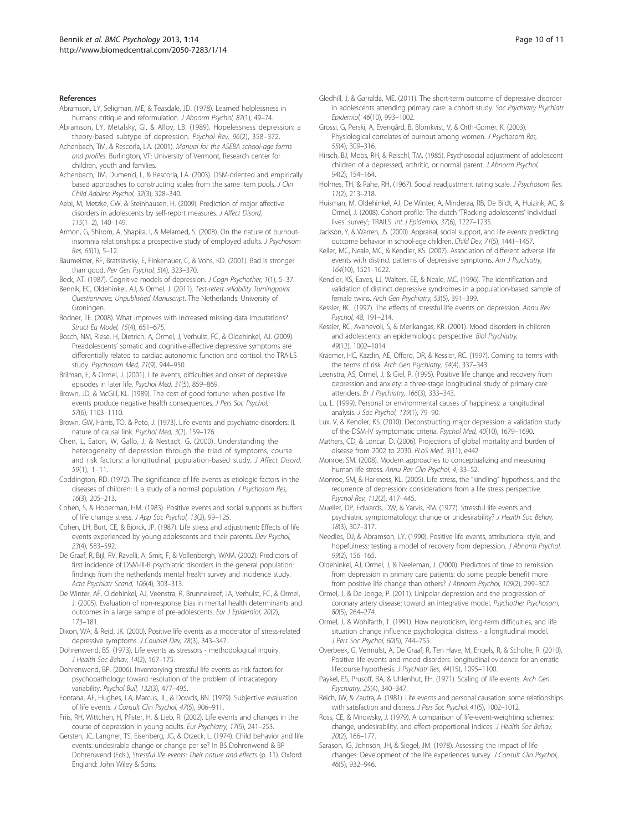#### <span id="page-9-0"></span>**References**

- Abramson, LY, Seligman, ME, & Teasdale, JD. (1978). Learned helplessness in humans: critique and reformulation. J Abnorm Psychol, 87(1), 49–74.
- Abramson, LY, Metalsky, GI, & Alloy, LB. (1989). Hopelessness depression: a theory-based subtype of depression. Psychol Rev, 96(2), 358–372.
- Achenbach, TM, & Rescorla, LA. (2001). Manual for the ASEBA school-age forms and profiles. Burlington, VT: University of Vermont, Research center for children, youth and families.
- Achenbach, TM, Dumenci, L, & Rescorla, LA. (2003). DSM-oriented and empirically based approaches to constructing scales from the same item pools. J Clin Child Adolesc Psychol, 32(3), 328–340.
- Aebi, M, Metzke, CW, & Steinhausen, H. (2009). Prediction of major affective disorders in adolescents by self-report measures. J Affect Disord,  $115(1-2)$ , 140-149.
- Armon, G, Shirom, A, Shapira, I, & Melamed, S. (2008). On the nature of burnoutinsomnia relationships: a prospective study of employed adults. J Psychosom Res, 65(1), 5–12.
- Baumeister, RF, Bratslavsky, E, Finkenauer, C, & Vohs, KD. (2001). Bad is stronger than good. Rev Gen Psychol, 5(4), 323–370.
- Beck, AT. (1987). Cognitive models of depression. J Cogn Psychother, 1(1), 5–37.
- Bennik, EC, Oldehinkel, AJ, & Ormel, J. (2011). Test-retest reliability Turningpoint Questionnaire, Unpublished Manuscript. The Netherlands: University of Groningen.
- Bodner, TE. (2008). What improves with increased missing data imputations? Struct Eq Model, 15(4), 651–675.
- Bosch, NM, Riese, H, Dietrich, A, Ormel, J, Verhulst, FC, & Oldehinkel, AJ. (2009). Preadolescents' somatic and cognitive-affective depressive symptoms are differentially related to cardiac autonomic function and cortisol: the TRAILS study. Psychosom Med, 71(9), 944–950.
- Brilman, E, & Ormel, J. (2001). Life events, difficulties and onset of depressive episodes in later life. Psychol Med, 31(5), 859–869.
- Brown, JD, & McGill, KL. (1989). The cost of good fortune: when positive life events produce negative health consequences. J Pers Soc Psychol, 57(6), 1103–1110.
- Brown, GW, Harris, TO, & Peto, J. (1973). Life events and psychiatric-disorders: II. nature of causal link. Psychol Med, 3(2), 159–176.
- Chen, L, Eaton, W, Gallo, J, & Nestadt, G. (2000). Understanding the heterogeneity of depression through the triad of symptoms, course and risk factors: a longitudinal, population-based study. J Affect Disord, 59(1), 1–11.
- Coddington, RD. (1972). The significance of life events as etiologic factors in the diseases of children: II. a study of a normal population. J Psychosom Res, 16(3), 205–213.
- Cohen, S, & Hoberman, HM. (1983). Positive events and social supports as buffers of life change stress. J App Soc Psychol, 13(2), 99–125.
- Cohen, LH, Burt, CE, & Bjorck, JP. (1987). Life stress and adjustment: Effects of life events experienced by young adolescents and their parents. Dev Psychol, 23(4), 583–592.
- De Graaf, R, Bijl, RV, Ravelli, A, Smit, F, & Vollenbergh, WAM. (2002). Predictors of first incidence of DSM-III-R psychiatric disorders in the general population: findings from the netherlands mental health survey and incidence study. Acta Psychiatr Scand, 106(4), 303–313.
- De Winter, AF, Oldehinkel, AJ, Veenstra, R, Brunnekreef, JA, Verhulst, FC, & Ormel, J. (2005). Evaluation of non-response bias in mental health determinants and outcomes in a large sample of pre-adolescents. Eur J Epidemiol, 20(2), 173–181.
- Dixon, WA, & Reid, JK. (2000). Positive life events as a moderator of stress-related depressive symptoms. J Counsel Dev, 78(3), 343–347.
- Dohrenwend, BS. (1973). Life events as stressors methodological inquiry. J Health Soc Behav, 14(2), 167–175.
- Dohrenwend, BP. (2006). Inventorying stressful life events as risk factors for psychopathology: toward resolution of the problem of intracategory variability. Psychol Bull, 132(3), 477–495.
- Fontana, AF, Hughes, LA, Marcus, JL, & Dowds, BN. (1979). Subjective evaluation of life events. J Consult Clin Psychol, 47(5), 906–911.
- Friis, RH, Wittchen, H, Pfister, H, & Lieb, R. (2002). Life events and changes in the course of depression in young adults. Eur Psychiatry, 17(5), 241–253.
- Gersten, JC, Langner, TS, Eisenberg, JG, & Orzeck, L. (1974). Child behavior and life events: undesirable change or change per se? In BS Dohrenwend & BP Dohrenwend (Eds.), Stressful life events: Their nature and effects (p. 11). Oxford England: John Wiley & Sons.
- Gledhill, J, & Garralda, ME. (2011). The short-term outcome of depressive disorder in adolescents attending primary care: a cohort study. Soc Psychiatry Psychiatr Epidemiol, 46(10), 993–1002.
- Grossi, G, Perski, A, Evengård, B, Blomkvist, V, & Orth-Gomér, K. (2003). Physiological correlates of burnout among women. J Psychosom Res, 55(4), 309–316.
- Hirsch, BJ, Moos, RH, & Reischl, TM. (1985). Psychosocial adjustment of adolescent children of a depressed, arthritic, or normal parent. J Abnorm Psychol, 94(2), 154–164.
- Holmes, TH, & Rahe, RH. (1967). Social readjustment rating scale. J Psychosom Res, 11(2), 213–218.
- Huisman, M, Oldehinkel, AJ, De Winter, A, Minderaa, RB, De Bildt, A, Huizink, AC, & Ormel, J. (2008). Cohort profile: The dutch 'TRacking adolescents' individual lives' survey'; TRAILS. Int J Epidemiol, 37(6), 1227–1235.
- Jackson, Y, & Warren, JS. (2000). Appraisal, social support, and life events: predicting outcome behavior in school-age children. Child Dev, 71(5), 1441–1457.
- Keller, MC, Neale, MC, & Kendler, KS. (2007). Association of different adverse life events with distinct patterns of depressive symptoms. Am J Psychiatry, 164(10), 1521–1622.
- Kendler, KS, Eaves, LJ, Walters, EE, & Neale, MC. (1996). The identification and validation of distinct depressive syndromes in a population-based sample of female twins. Arch Gen Psychiatry, 53(5), 391–399.
- Kessler, RC. (1997). The effects of stressful life events on depression. Annu Rev Psychol, 48, 191–214.
- Kessler, RC, Avenevoli, S, & Merikangas, KR. (2001). Mood disorders in children and adolescents: an epidemiologic perspective. Biol Psychiatry, 49(12), 1002–1014.
- Kraemer, HC, Kazdin, AE, Offord, DR, & Kessler, RC. (1997). Coming to terms with the terms of risk. Arch Gen Psychiatry, 54(4), 337–343.
- Leenstra, AS, Ormel, J, & Giel, R. (1995). Positive life change and recovery from depression and anxiety: a three-stage longitudinal study of primary care attenders. Br J Psychiatry, 166(3), 333–343.
- Lu, L. (1999). Personal or environmental causes of happiness: a longitudinal analysis. J Soc Psychol, 139(1), 79–90.
- Lux, V, & Kendler, KS. (2010). Deconstructing major depression: a validation study of the DSM-IV symptomatic criteria. Psychol Med, 40(10), 1679–1690.
- Mathers, CD, & Loncar, D. (2006). Projections of global mortality and burden of disease from 2002 to 2030. PLoS Med, 3(11), e442.
- Monroe, SM. (2008). Modern approaches to conceptualizing and measuring human life stress. Annu Rev Clin Psychol, 4, 33–52.
- Monroe, SM, & Harkness, KL. (2005). Life stress, the "kindling" hypothesis, and the recurrence of depression: considerations from a life stress perspective. Psychol Rev, 112(2), 417–445.
- Mueller, DP, Edwards, DW, & Yarvis, RM. (1977). Stressful life events and psychiatric symptomatology: change or undesirability? J Health Soc Behav, 18(3), 307–317.
- Needles, DJ, & Abramson, LY. (1990). Positive life events, attributional style, and hopefulness: testing a model of recovery from depression. J Abnorm Psychol, 99(2), 156–165.
- Oldehinkel, AJ, Ormel, J, & Neeleman, J. (2000). Predictors of time to remission from depression in primary care patients: do some people benefit more from positive life change than others? J Abnorm Psychol, 109(2), 299–307.
- Ormel, J, & De Jonge, P. (2011). Unipolar depression and the progression of coronary artery disease: toward an integrative model. Psychother Psychosom, 80(5), 264–274.
- Ormel, J, & Wohlfarth, T. (1991). How neuroticism, long-term difficulties, and life situation change influence psychological distress - a longitudinal model. J Pers Soc Psychol, 60(5), 744–755.
- Overbeek, G, Vermulst, A, De Graaf, R, Ten Have, M, Engels, R, & Scholte, R. (2010). Positive life events and mood disorders: longitudinal evidence for an erratic lifecourse hypothesis. J Psychiatr Res, 44(15), 1095–1100.
- Paykel, ES, Prusoff, BA, & Uhlenhut, EH. (1971). Scaling of life events. Arch Gen Psychiatry, 25(4), 340–347.
- Reich, JW, & Zautra, A. (1981). Life events and personal causation: some relationships with satisfaction and distress. J Pers Soc Psychol, 41(5), 1002–1012.
- Ross, CE, & Mirowsky, J. (1979). A comparison of life-event-weighting schemes: change, undesirability, and effect-proportional indices. J Health Soc Behav, 20(2), 166–177.
- Sarason, IG, Johnson, JH, & Siegel, JM. (1978). Assessing the impact of life changes: Development of the life experiences survey. J Consult Clin Psychol, 46(5), 932–946.